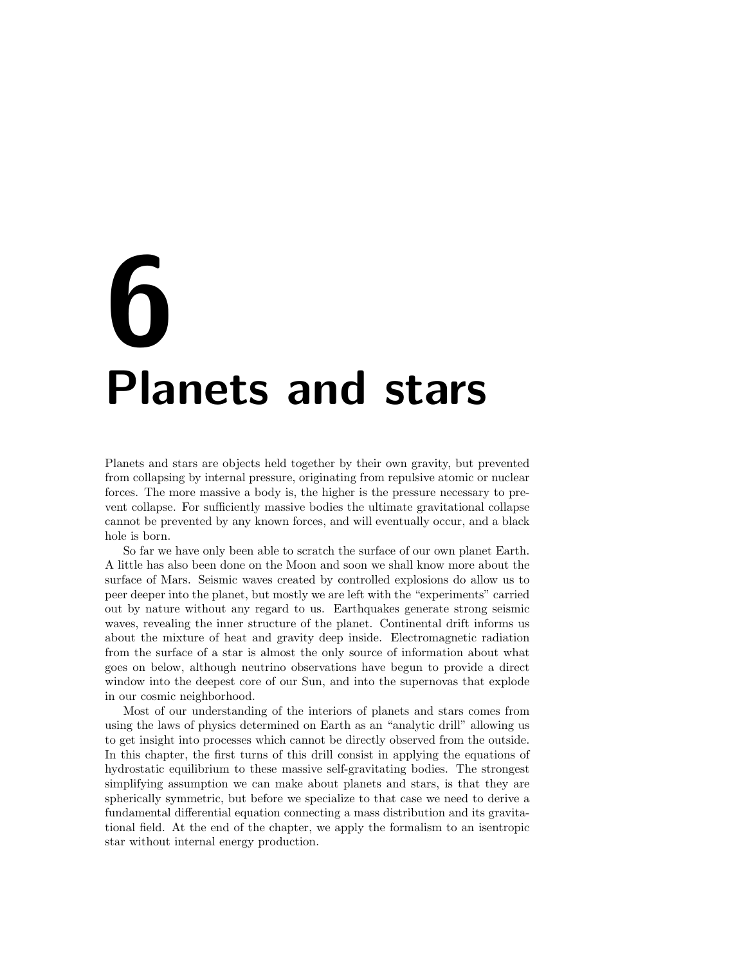# 6 Planets and stars

Planets and stars are objects held together by their own gravity, but prevented from collapsing by internal pressure, originating from repulsive atomic or nuclear forces. The more massive a body is, the higher is the pressure necessary to prevent collapse. For sufficiently massive bodies the ultimate gravitational collapse cannot be prevented by any known forces, and will eventually occur, and a black hole is born.

So far we have only been able to scratch the surface of our own planet Earth. A little has also been done on the Moon and soon we shall know more about the surface of Mars. Seismic waves created by controlled explosions do allow us to peer deeper into the planet, but mostly we are left with the "experiments" carried out by nature without any regard to us. Earthquakes generate strong seismic waves, revealing the inner structure of the planet. Continental drift informs us about the mixture of heat and gravity deep inside. Electromagnetic radiation from the surface of a star is almost the only source of information about what goes on below, although neutrino observations have begun to provide a direct window into the deepest core of our Sun, and into the supernovas that explode in our cosmic neighborhood.

Most of our understanding of the interiors of planets and stars comes from using the laws of physics determined on Earth as an "analytic drill" allowing us to get insight into processes which cannot be directly observed from the outside. In this chapter, the first turns of this drill consist in applying the equations of hydrostatic equilibrium to these massive self-gravitating bodies. The strongest simplifying assumption we can make about planets and stars, is that they are spherically symmetric, but before we specialize to that case we need to derive a fundamental differential equation connecting a mass distribution and its gravitational field. At the end of the chapter, we apply the formalism to an isentropic star without internal energy production.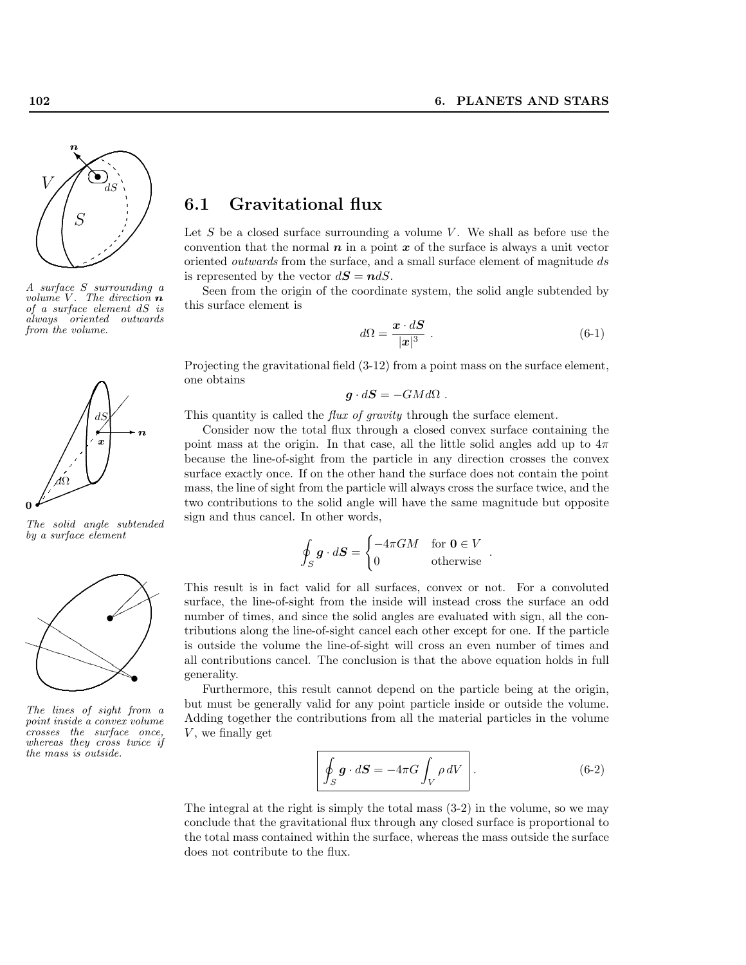

A surface S surrounding a volume  $V$ . The direction  $n$ of a surface element dS is always oriented outwards from the volume.



The solid angle subtended by a surface element



The lines of sight from a point inside a convex volume crosses the surface once, whereas they cross twice if the mass is outside.

# 6.1 Gravitational flux

Let  $S$  be a closed surface surrounding a volume  $V$ . We shall as before use the convention that the normal  $n$  in a point  $x$  of the surface is always a unit vector oriented outwards from the surface, and a small surface element of magnitude ds is represented by the vector  $dS = ndS$ .

Seen from the origin of the coordinate system, the solid angle subtended by this surface element is

$$
d\Omega = \frac{\boldsymbol{x} \cdot d\boldsymbol{S}}{|\boldsymbol{x}|^3} \ . \tag{6-1}
$$

.

Projecting the gravitational field (3-12) from a point mass on the surface element, one obtains

$$
\boldsymbol{g} \cdot d\boldsymbol{S} = -GM d\Omega \ .
$$

This quantity is called the *flux of gravity* through the surface element.

Consider now the total flux through a closed convex surface containing the point mass at the origin. In that case, all the little solid angles add up to  $4\pi$ because the line-of-sight from the particle in any direction crosses the convex surface exactly once. If on the other hand the surface does not contain the point mass, the line of sight from the particle will always cross the surface twice, and the two contributions to the solid angle will have the same magnitude but opposite sign and thus cancel. In other words,

$$
\oint_{S} \mathbf{g} \cdot d\mathbf{S} = \begin{cases}\n-4\pi GM & \text{for } \mathbf{0} \in V \\
0 & \text{otherwise}\n\end{cases}
$$

This result is in fact valid for all surfaces, convex or not. For a convoluted surface, the line-of-sight from the inside will instead cross the surface an odd number of times, and since the solid angles are evaluated with sign, all the contributions along the line-of-sight cancel each other except for one. If the particle is outside the volume the line-of-sight will cross an even number of times and all contributions cancel. The conclusion is that the above equation holds in full generality.

Furthermore, this result cannot depend on the particle being at the origin, but must be generally valid for any point particle inside or outside the volume. Adding together the contributions from all the material particles in the volume  $V$ , we finally get

$$
\oint_{S} \boldsymbol{g} \cdot d\boldsymbol{S} = -4\pi G \int_{V} \rho \, dV \quad . \tag{6-2}
$$

The integral at the right is simply the total mass (3-2) in the volume, so we may conclude that the gravitational flux through any closed surface is proportional to the total mass contained within the surface, whereas the mass outside the surface does not contribute to the flux.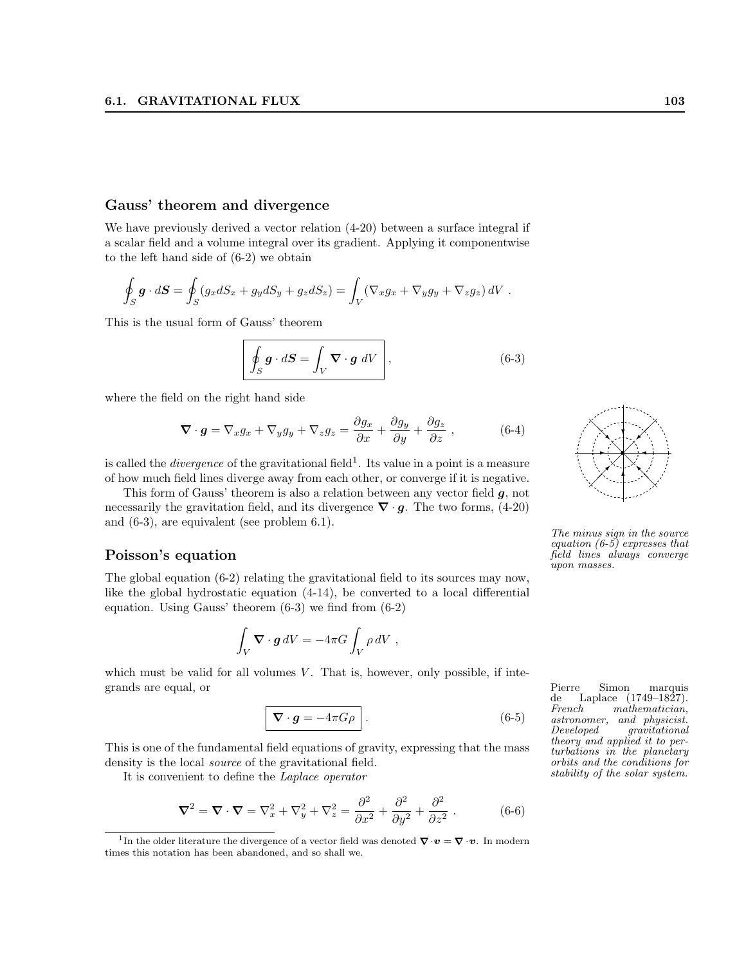### Gauss' theorem and divergence

We have previously derived a vector relation  $(4-20)$  between a surface integral if a scalar field and a volume integral over its gradient. Applying it componentwise to the left hand side of (6-2) we obtain

$$
\oint_S \boldsymbol{g} \cdot d\boldsymbol{S} = \oint_S (g_x dS_x + g_y dS_y + g_z dS_z) = \int_V (\nabla_x g_x + \nabla_y g_y + \nabla_z g_z) dV.
$$

This is the usual form of Gauss' theorem

$$
\oint_{S} \boldsymbol{g} \cdot d\boldsymbol{S} = \int_{V} \boldsymbol{\nabla} \cdot \boldsymbol{g} \ dV, \qquad (6-3)
$$

where the field on the right hand side

$$
\nabla \cdot \boldsymbol{g} = \nabla_x g_x + \nabla_y g_y + \nabla_z g_z = \frac{\partial g_x}{\partial x} + \frac{\partial g_y}{\partial y} + \frac{\partial g_z}{\partial z} , \qquad (6-4)
$$

is called the *divergence* of the gravitational field<sup>1</sup>. Its value in a point is a measure of how much field lines diverge away from each other, or converge if it is negative.

This form of Gauss' theorem is also a relation between any vector field  $g$ , not necessarily the gravitation field, and its divergence  $\nabla \cdot g$ . The two forms, (4-20) and (6-3), are equivalent (see problem 6.1).

### Poisson's equation

The global equation (6-2) relating the gravitational field to its sources may now, like the global hydrostatic equation (4-14), be converted to a local differential equation. Using Gauss' theorem (6-3) we find from (6-2)

$$
\int_V \mathbf{\nabla} \cdot \mathbf{g} \, dV = -4\pi G \int_V \rho \, dV \ ,
$$

which must be valid for all volumes  $V$ . That is, however, only possible, if integrands are equal, or **Pierre** Simon marquis

$$
\boldsymbol{\nabla} \cdot \boldsymbol{g} = -4\pi G \rho \quad . \tag{6-5}
$$

This is one of the fundamental field equations of gravity, expressing that the mass density is the local *source* of the gravitational field.

It is convenient to define the Laplace operator

$$
\nabla^2 = \nabla \cdot \nabla = \nabla_x^2 + \nabla_y^2 + \nabla_z^2 = \frac{\partial^2}{\partial x^2} + \frac{\partial^2}{\partial y^2} + \frac{\partial^2}{\partial z^2} .
$$
 (6-6)



The minus sign in the source equation  $(6-5)$  expresses that field lines always converge upon masses.

de Laplace  $(1749-1827)$ .<br>French mathematician,  $mathematician,$ astronomer, and physicist.<br>Developed gravitational  $gravitational$ theory and applied it to perturbations in the planetary orbits and the conditions for stability of the solar system.

<sup>&</sup>lt;sup>1</sup>In the older literature the divergence of a vector field was denoted  $\nabla \cdot v = \nabla \cdot v$ . In modern times this notation has been abandoned, and so shall we.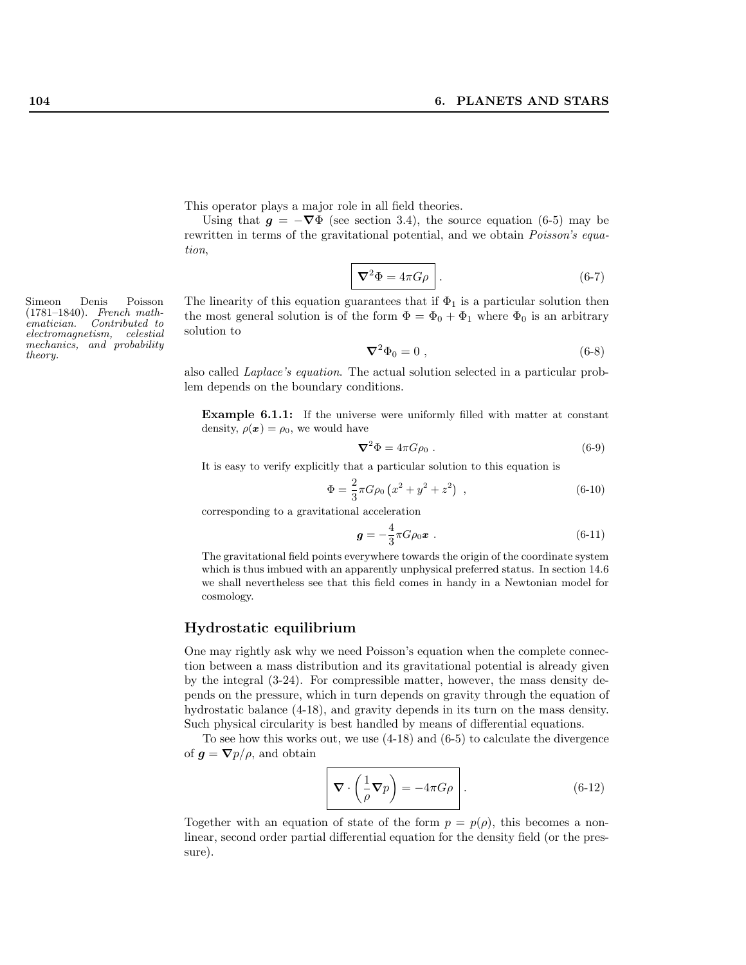This operator plays a major role in all field theories.

Using that  $g = -\nabla \Phi$  (see section 3.4), the source equation (6-5) may be rewritten in terms of the gravitational potential, and we obtain *Poisson's equa*tion,

$$
\nabla^2 \Phi = 4\pi G \rho \quad . \tag{6-7}
$$

Simeon Denis Poisson The linearity of this equation guarantees that if  $\Phi_1$  is a particular solution then the most general solution is of the form  $\Phi = \Phi_0 + \Phi_1$  where  $\Phi_0$  is an arbitrary solution to

$$
\nabla^2 \Phi_0 = 0 \tag{6-8}
$$

also called Laplace's equation. The actual solution selected in a particular problem depends on the boundary conditions.

Example 6.1.1: If the universe were uniformly filled with matter at constant density,  $\rho(\boldsymbol{x}) = \rho_0$ , we would have

$$
\nabla^2 \Phi = 4\pi G \rho_0 \tag{6-9}
$$

It is easy to verify explicitly that a particular solution to this equation is

$$
\Phi = \frac{2}{3}\pi G\rho_0 \left(x^2 + y^2 + z^2\right) ,\qquad (6-10)
$$

corresponding to a gravitational acceleration

$$
g = -\frac{4}{3}\pi G \rho_0 x \; . \tag{6-11}
$$

The gravitational field points everywhere towards the origin of the coordinate system which is thus imbued with an apparently unphysical preferred status. In section 14.6 we shall nevertheless see that this field comes in handy in a Newtonian model for cosmology.

### Hydrostatic equilibrium

One may rightly ask why we need Poisson's equation when the complete connection between a mass distribution and its gravitational potential is already given by the integral (3-24). For compressible matter, however, the mass density depends on the pressure, which in turn depends on gravity through the equation of hydrostatic balance (4-18), and gravity depends in its turn on the mass density. Such physical circularity is best handled by means of differential equations.

To see how this works out, we use (4-18) and (6-5) to calculate the divergence of  $g = \nabla p/\rho$ , and obtain

$$
\nabla \cdot \left(\frac{1}{\rho} \nabla p\right) = -4\pi G \rho \qquad (6-12)
$$

Together with an equation of state of the form  $p = p(\rho)$ , this becomes a nonlinear, second order partial differential equation for the density field (or the pressure).

(1781–1840). French mathematician. Contributed to<br>electromagnetism. celestial  $electromagnetism,$ mechanics, and probability theory.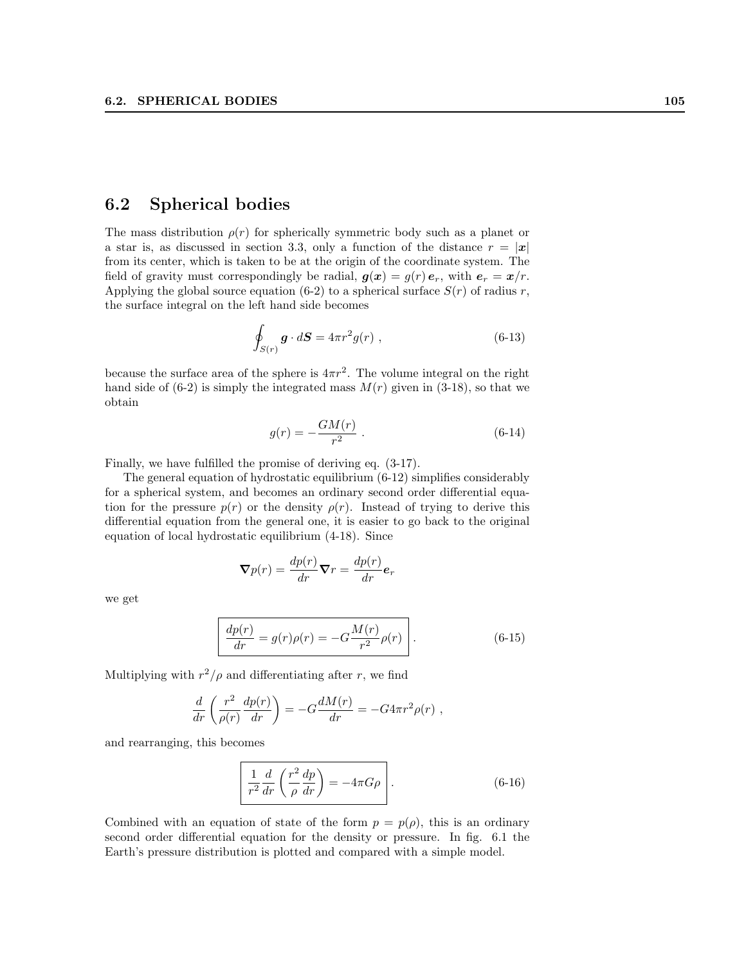# 6.2 Spherical bodies

The mass distribution  $\rho(r)$  for spherically symmetric body such as a planet or a star is, as discussed in section 3.3, only a function of the distance  $r = |\mathbf{x}|$ from its center, which is taken to be at the origin of the coordinate system. The field of gravity must correspondingly be radial,  $g(x) = g(r) e_r$ , with  $e_r = x/r$ . Applying the global source equation (6-2) to a spherical surface  $S(r)$  of radius r, the surface integral on the left hand side becomes

$$
\oint_{S(r)} \mathbf{g} \cdot d\mathbf{S} = 4\pi r^2 g(r) ,\qquad(6-13)
$$

because the surface area of the sphere is  $4\pi r^2$ . The volume integral on the right hand side of  $(6-2)$  is simply the integrated mass  $M(r)$  given in  $(3-18)$ , so that we obtain

$$
g(r) = -\frac{GM(r)}{r^2} \ . \tag{6-14}
$$

Finally, we have fulfilled the promise of deriving eq. (3-17).

The general equation of hydrostatic equilibrium (6-12) simplifies considerably for a spherical system, and becomes an ordinary second order differential equation for the pressure  $p(r)$  or the density  $p(r)$ . Instead of trying to derive this differential equation from the general one, it is easier to go back to the original equation of local hydrostatic equilibrium (4-18). Since

$$
\nabla p(r) = \frac{dp(r)}{dr}\nabla r = \frac{dp(r)}{dr}\mathbf{e}_r
$$

we get

$$
\frac{dp(r)}{dr} = g(r)\rho(r) = -G\frac{M(r)}{r^2}\rho(r)
$$
\n(6-15)

Multiplying with  $r^2/\rho$  and differentiating after r, we find

$$
\frac{d}{dr}\left(\frac{r^2}{\rho(r)}\frac{dp(r)}{dr}\right) = -G\frac{dM(r)}{dr} = -G4\pi r^2 \rho(r) ,
$$

and rearranging, this becomes

$$
\frac{1}{r^2}\frac{d}{dr}\left(\frac{r^2}{\rho}\frac{dp}{dr}\right) = -4\pi G\rho\tag{6-16}
$$

Combined with an equation of state of the form  $p = p(\rho)$ , this is an ordinary second order differential equation for the density or pressure. In fig. 6.1 the Earth's pressure distribution is plotted and compared with a simple model.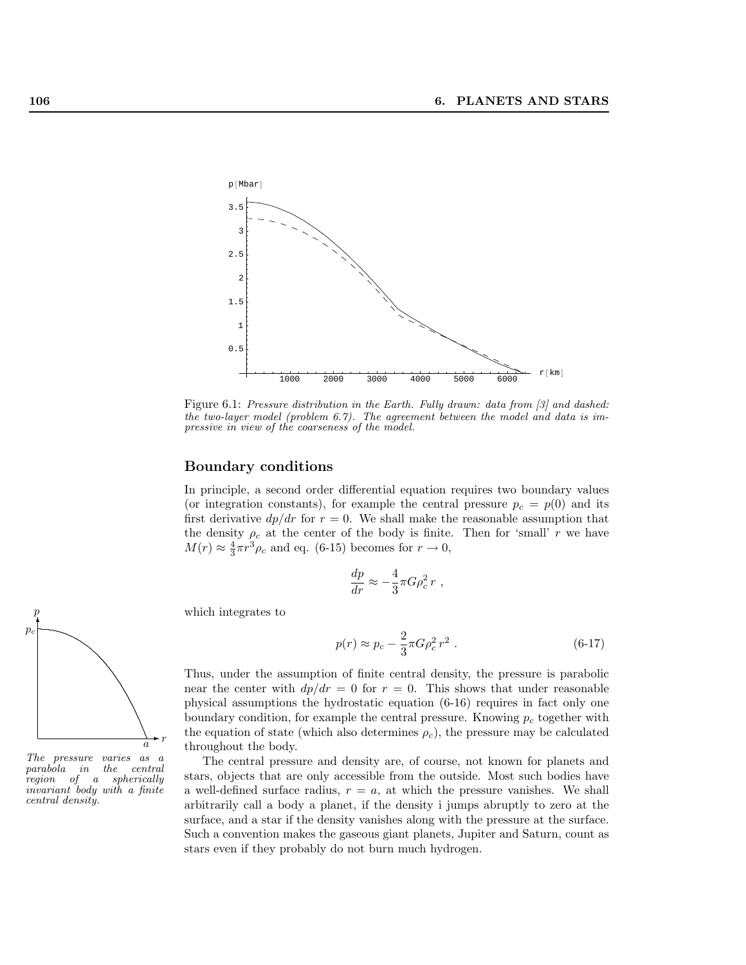

Figure 6.1: Pressure distribution in the Earth. Fully drawn: data from [3] and dashed: the two-layer model (problem 6.7). The agreement between the model and data is impressive in view of the coarseness of the model.

### Boundary conditions

In principle, a second order differential equation requires two boundary values (or integration constants), for example the central pressure  $p_c = p(0)$  and its first derivative  $dp/dr$  for  $r = 0$ . We shall make the reasonable assumption that the density  $\rho_c$  at the center of the body is finite. Then for 'small' r we have  $M(r) \approx \frac{4}{3}\pi r^3 \rho_c$  and eq. (6-15) becomes for  $r \to 0$ ,

$$
\frac{dp}{dr} \approx -\frac{4}{3}\pi G \rho_c^2\,r\ ,
$$

which integrates to

$$
p(r) \approx p_c - \frac{2}{3}\pi G \rho_c^2 r^2 . \qquad (6-17)
$$

Thus, under the assumption of finite central density, the pressure is parabolic near the center with  $dp/dr = 0$  for  $r = 0$ . This shows that under reasonable physical assumptions the hydrostatic equation (6-16) requires in fact only one boundary condition, for example the central pressure. Knowing  $p_c$  together with the equation of state (which also determines  $\rho_c$ ), the pressure may be calculated throughout the body.

The central pressure and density are, of course, not known for planets and stars, objects that are only accessible from the outside. Most such bodies have a well-defined surface radius,  $r = a$ , at which the pressure vanishes. We shall arbitrarily call a body a planet, if the density i jumps abruptly to zero at the surface, and a star if the density vanishes along with the pressure at the surface. Such a convention makes the gaseous giant planets, Jupiter and Saturn, count as stars even if they probably do not burn much hydrogen.



The pressure varies as a<br>parabola in the central  $parabola$  in the region of a spherically invariant body with a finite central density.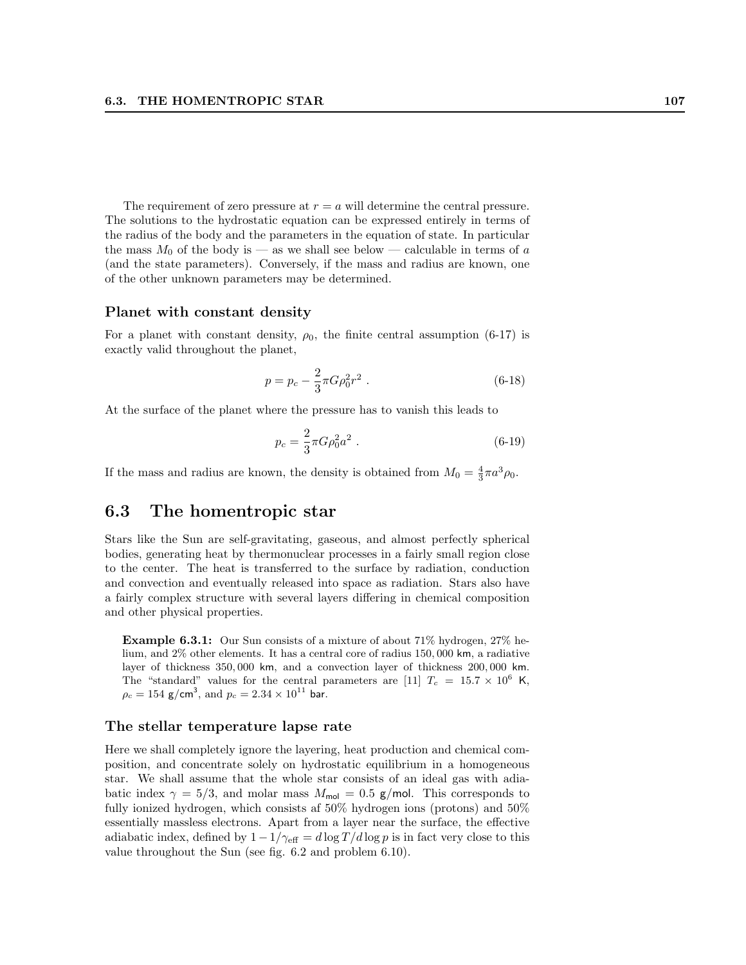The requirement of zero pressure at  $r = a$  will determine the central pressure. The solutions to the hydrostatic equation can be expressed entirely in terms of the radius of the body and the parameters in the equation of state. In particular the mass  $M_0$  of the body is — as we shall see below — calculable in terms of a (and the state parameters). Conversely, if the mass and radius are known, one of the other unknown parameters may be determined.

### Planet with constant density

For a planet with constant density,  $\rho_0$ , the finite central assumption (6-17) is exactly valid throughout the planet,

$$
p = p_c - \frac{2}{3}\pi G \rho_0^2 r^2 \ . \tag{6-18}
$$

At the surface of the planet where the pressure has to vanish this leads to

$$
p_c = \frac{2}{3}\pi G \rho_0^2 a^2 \ . \tag{6-19}
$$

If the mass and radius are known, the density is obtained from  $M_0 = \frac{4}{3}\pi a^3 \rho_0$ .

# 6.3 The homentropic star

Stars like the Sun are self-gravitating, gaseous, and almost perfectly spherical bodies, generating heat by thermonuclear processes in a fairly small region close to the center. The heat is transferred to the surface by radiation, conduction and convection and eventually released into space as radiation. Stars also have a fairly complex structure with several layers differing in chemical composition and other physical properties.

Example 6.3.1: Our Sun consists of a mixture of about 71% hydrogen, 27% helium, and 2% other elements. It has a central core of radius 150, 000 km, a radiative layer of thickness 350, 000 km, and a convection layer of thickness 200, 000 km. The "standard" values for the central parameters are [11]  $T_c = 15.7 \times 10^6$  K,  $\rho_c=154$  g/cm<sup>3</sup>, and  $p_c=2.34\times 10^{11}$  bar.

### The stellar temperature lapse rate

Here we shall completely ignore the layering, heat production and chemical composition, and concentrate solely on hydrostatic equilibrium in a homogeneous star. We shall assume that the whole star consists of an ideal gas with adiabatic index  $\gamma = 5/3$ , and molar mass  $M_{\text{mol}} = 0.5$  g/mol. This corresponds to fully ionized hydrogen, which consists af 50% hydrogen ions (protons) and 50% essentially massless electrons. Apart from a layer near the surface, the effective adiabatic index, defined by  $1 - 1/\gamma_{\text{eff}} = d \log T / d \log p$  is in fact very close to this value throughout the Sun (see fig. 6.2 and problem 6.10).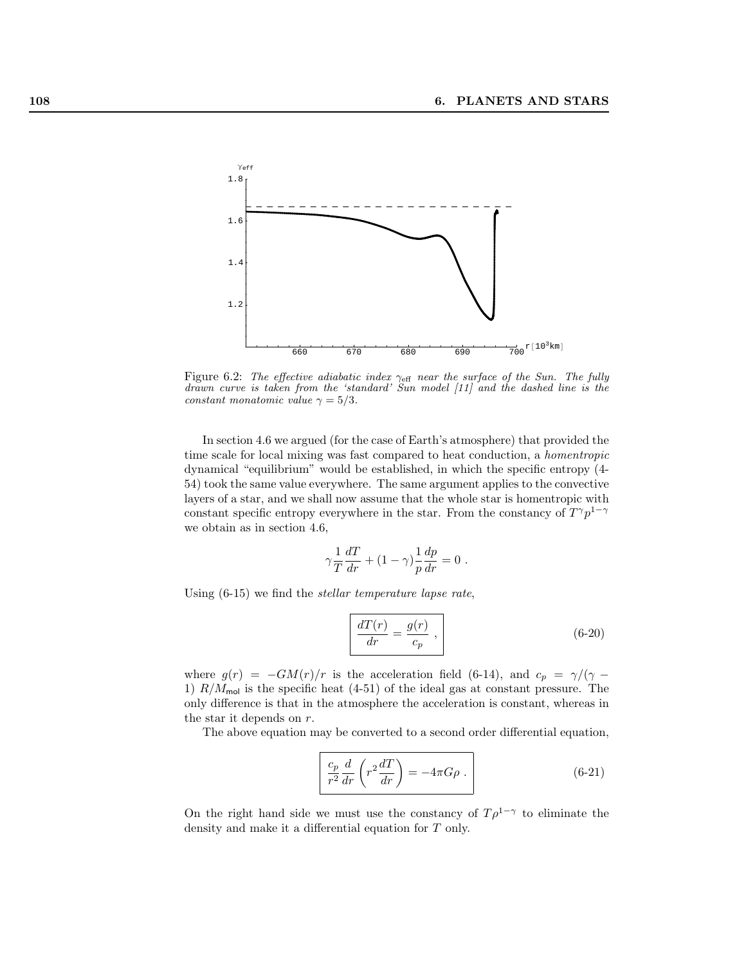

Figure 6.2: The effective adiabatic index  $\gamma_{\text{eff}}$  near the surface of the Sun. The fully drawn curve is taken from the 'standard' Sun model [11] and the dashed line is the constant monatomic value  $\gamma = 5/3$ .

In section 4.6 we argued (for the case of Earth's atmosphere) that provided the time scale for local mixing was fast compared to heat conduction, a homentropic dynamical "equilibrium" would be established, in which the specific entropy (4- 54) took the same value everywhere. The same argument applies to the convective layers of a star, and we shall now assume that the whole star is homentropic with constant specific entropy everywhere in the star. From the constancy of  $T^{\gamma}p^{1-\gamma}$ we obtain as in section 4.6,

$$
\gamma \frac{1}{T} \frac{dT}{dr} + (1 - \gamma) \frac{1}{p} \frac{dp}{dr} = 0.
$$

Using (6-15) we find the stellar temperature lapse rate,

$$
\frac{dT(r)}{dr} = \frac{g(r)}{c_p} , \qquad (6-20)
$$

where  $g(r) = -GM(r)/r$  is the acceleration field (6-14), and  $c_p = \gamma/(\gamma -$ 1)  $R/M_{\text{mol}}$  is the specific heat (4-51) of the ideal gas at constant pressure. The only difference is that in the atmosphere the acceleration is constant, whereas in the star it depends on r.

The above equation may be converted to a second order differential equation,

$$
\boxed{\frac{c_p}{r^2}\frac{d}{dr}\left(r^2\frac{dT}{dr}\right) = -4\pi G\rho\ .}
$$
\n(6-21)

On the right hand side we must use the constancy of  $T\rho^{1-\gamma}$  to eliminate the density and make it a differential equation for T only.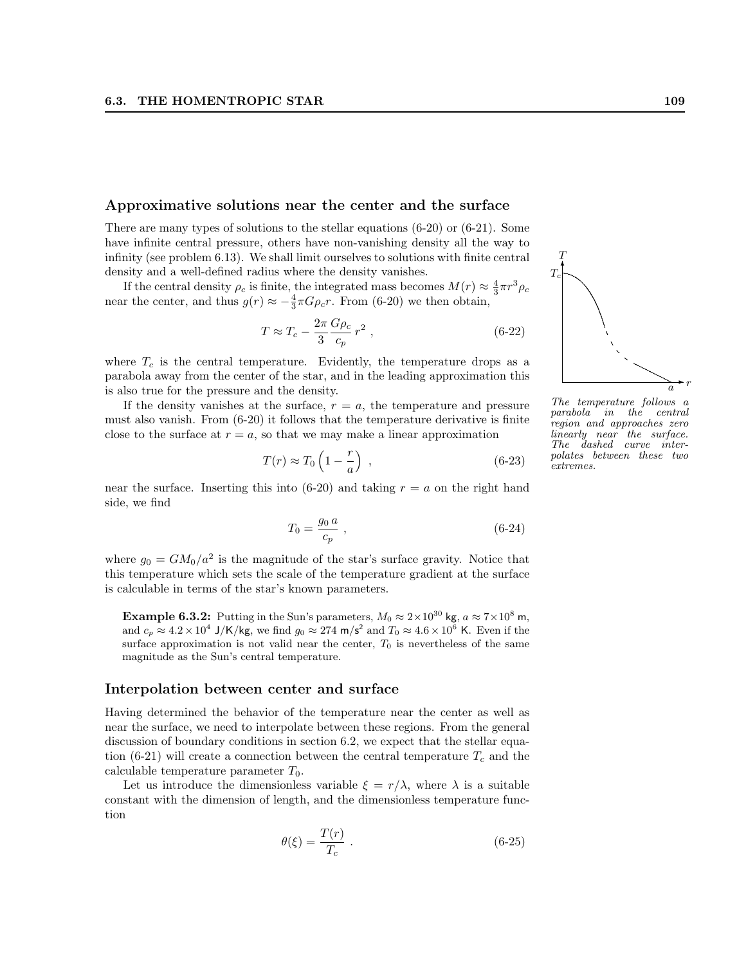### Approximative solutions near the center and the surface

There are many types of solutions to the stellar equations  $(6-20)$  or  $(6-21)$ . Some have infinite central pressure, others have non-vanishing density all the way to infinity (see problem 6.13). We shall limit ourselves to solutions with finite central density and a well-defined radius where the density vanishes.

If the central density  $\rho_c$  is finite, the integrated mass becomes  $M(r) \approx \frac{4}{3}\pi r^3 \rho_c$ near the center, and thus  $g(r) \approx -\frac{4}{3}\pi G \rho_c r$ . From (6-20) we then obtain,

$$
T \approx T_c - \frac{2\pi}{3} \frac{G\rho_c}{c_p} r^2 , \qquad (6-22)
$$

where  $T_c$  is the central temperature. Evidently, the temperature drops as a parabola away from the center of the star, and in the leading approximation this is also true for the pressure and the density.

If the density vanishes at the surface,  $r = a$ , the temperature and pressure must also vanish. From (6-20) it follows that the temperature derivative is finite close to the surface at  $r = a$ , so that we may make a linear approximation

$$
T(r) \approx T_0 \left( 1 - \frac{r}{a} \right) , \qquad (6-23)
$$

near the surface. Inserting this into  $(6-20)$  and taking  $r = a$  on the right hand side, we find

$$
T_0 = \frac{g_0 a}{c_p} \t{,} \t(6-24)
$$

where  $g_0 = GM_0/a^2$  is the magnitude of the star's surface gravity. Notice that this temperature which sets the scale of the temperature gradient at the surface is calculable in terms of the star's known parameters.

**Example 6.3.2:** Putting in the Sun's parameters,  $M_0 \approx 2 \times 10^{30}$  kg,  $a \approx 7 \times 10^8$  m, and  $c_p \approx 4.2 \times 10^4$  J/K/kg, we find  $g_0 \approx 274$  m/s<sup>2</sup> and  $T_0 \approx 4.6 \times 10^6$  K. Even if the surface approximation is not valid near the center,  $T_0$  is nevertheless of the same magnitude as the Sun's central temperature.

### Interpolation between center and surface

Having determined the behavior of the temperature near the center as well as near the surface, we need to interpolate between these regions. From the general discussion of boundary conditions in section 6.2, we expect that the stellar equation (6-21) will create a connection between the central temperature  $T_c$  and the calculable temperature parameter  $T_0$ .

Let us introduce the dimensionless variable  $\xi = r/\lambda$ , where  $\lambda$  is a suitable constant with the dimension of length, and the dimensionless temperature function

$$
\theta(\xi) = \frac{T(r)}{T_c} \ . \tag{6-25}
$$



The temperature follows a<br>parabola in the central  $in$  the central region and approaches zero linearly near the surface. The dashed curve interpolates between these two extremes.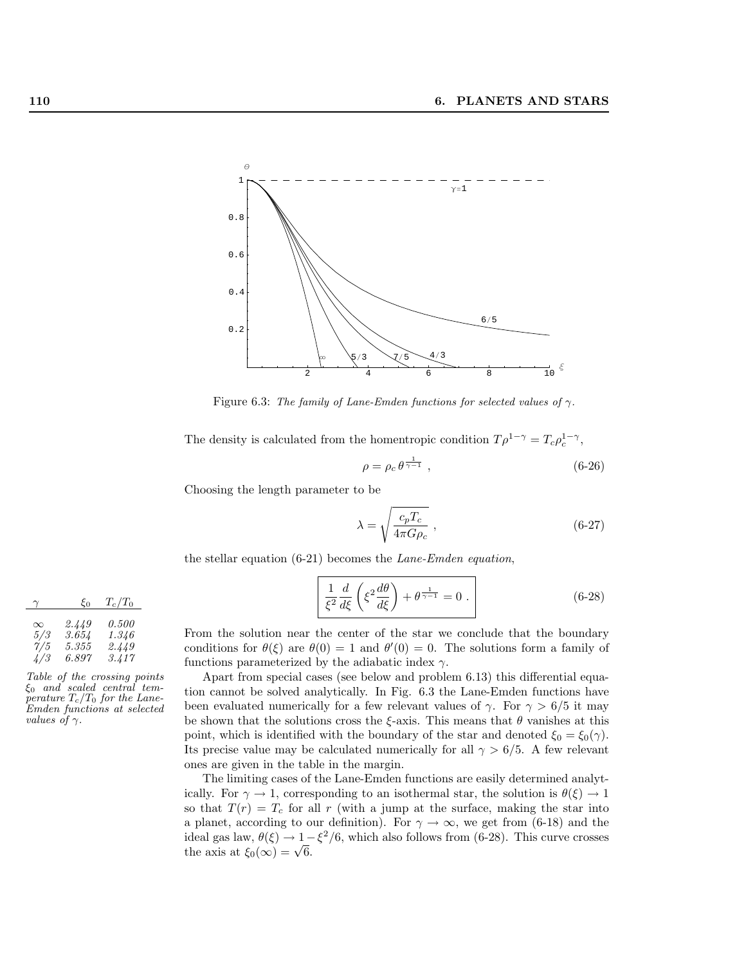

Figure 6.3: The family of Lane-Emden functions for selected values of  $\gamma$ .

The density is calculated from the homentropic condition  $T\rho^{1-\gamma} = T_c \rho_c^{1-\gamma}$ ,

$$
\rho = \rho_c \,\theta^{\frac{1}{\gamma - 1}} \,, \tag{6-26}
$$

Choosing the length parameter to be

$$
\lambda = \sqrt{\frac{c_p T_c}{4\pi G \rho_c}} \,,\tag{6-27}
$$

the stellar equation (6-21) becomes the Lane-Emden equation,

$$
\frac{1}{\xi^2} \frac{d}{d\xi} \left( \xi^2 \frac{d\theta}{d\xi} \right) + \theta^{\frac{1}{\gamma - 1}} = 0.
$$
 (6-28)

From the solution near the center of the star we conclude that the boundary conditions for  $\theta(\xi)$  are  $\theta(0) = 1$  and  $\theta'(0) = 0$ . The solutions form a family of functions parameterized by the adiabatic index  $\gamma$ .

Apart from special cases (see below and problem 6.13) this differential equation cannot be solved analytically. In Fig. 6.3 the Lane-Emden functions have been evaluated numerically for a few relevant values of  $\gamma$ . For  $\gamma > 6/5$  it may be shown that the solutions cross the  $\xi$ -axis. This means that  $\theta$  vanishes at this point, which is identified with the boundary of the star and denoted  $\xi_0 = \xi_0(\gamma)$ . Its precise value may be calculated numerically for all  $\gamma > 6/5$ . A few relevant ones are given in the table in the margin.

The limiting cases of the Lane-Emden functions are easily determined analytically. For  $\gamma \to 1$ , corresponding to an isothermal star, the solution is  $\theta(\xi) \to 1$ so that  $T(r) = T_c$  for all r (with a jump at the surface, making the star into a planet, according to our definition). For  $\gamma \to \infty$ , we get from (6-18) and the ideal gas law,  $\theta(\xi) \rightarrow 1 - \xi^2/6$ , which also follows from (6-28). This curve crosses the axis at  $\xi_0(\infty) \rightarrow 1$  -<br>the axis at  $\xi_0(\infty) = \sqrt{6}$ .

 $\xi_0$   $T_c/T_0$  $\infty$  2.449 0.500<br>5/3 3.654 1.346<br>7/5 5.355 2.449 1.346 5.355 2.449 4/3 6.897 3.417

Table of the crossing points  $\xi_0$  and scaled central temperature  $T_c/T_0$  for the Lane-Emden functions at selected values of  $\gamma$ .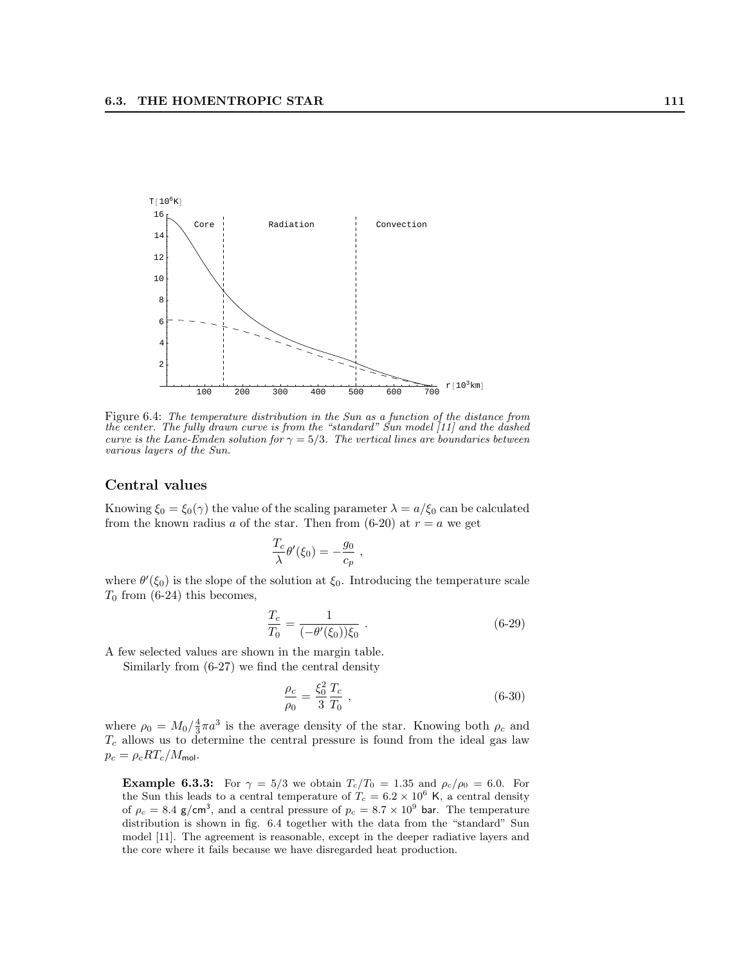

Figure 6.4: The temperature distribution in the Sun as a function of the distance from the center. The fully drawn curve is from the "standard" Sun model [11] and the dashed curve is the Lane-Emden solution for  $\gamma = 5/3$ . The vertical lines are boundaries between various layers of the Sun.

### Central values

Knowing  $\xi_0 = \xi_0(\gamma)$  the value of the scaling parameter  $\lambda = a/\xi_0$  can be calculated from the known radius a of the star. Then from  $(6-20)$  at  $r = a$  we get

$$
\frac{T_c}{\lambda} \theta'(\xi_0) = -\frac{g_0}{c_p} ,
$$

where  $\theta'(\xi_0)$  is the slope of the solution at  $\xi_0$ . Introducing the temperature scale  $T_0$  from  $(6-24)$  this becomes,

$$
\frac{T_c}{T_0} = \frac{1}{(-\theta'(\xi_0))\xi_0} \tag{6-29}
$$

A few selected values are shown in the margin table.

Similarly from (6-27) we find the central density

$$
\frac{\rho_c}{\rho_0} = \frac{\xi_0^2}{3} \frac{T_c}{T_0} \,,\tag{6-30}
$$

where  $\rho_0 = M_0 / \frac{4}{3} \pi a^3$  is the average density of the star. Knowing both  $\rho_c$  and  $T_c$  allows us to determine the central pressure is found from the ideal gas law  $p_c = \rho_c RT_c/M_{\text{mol}}$ .

**Example 6.3.3:** For  $\gamma = 5/3$  we obtain  $T_c/T_0 = 1.35$  and  $\rho_c/\rho_0 = 6.0$ . For the Sun this leads to a central temperature of  $T_c = 6.2 \times 10^6$  K, a central density of  $\rho_c = 8.4$  g/cm<sup>3</sup>, and a central pressure of  $p_c = 8.7 \times 10^9$  bar. The temperature distribution is shown in fig. 6.4 together with the data from the "standard" Sun model [11]. The agreement is reasonable, except in the deeper radiative layers and the core where it fails because we have disregarded heat production.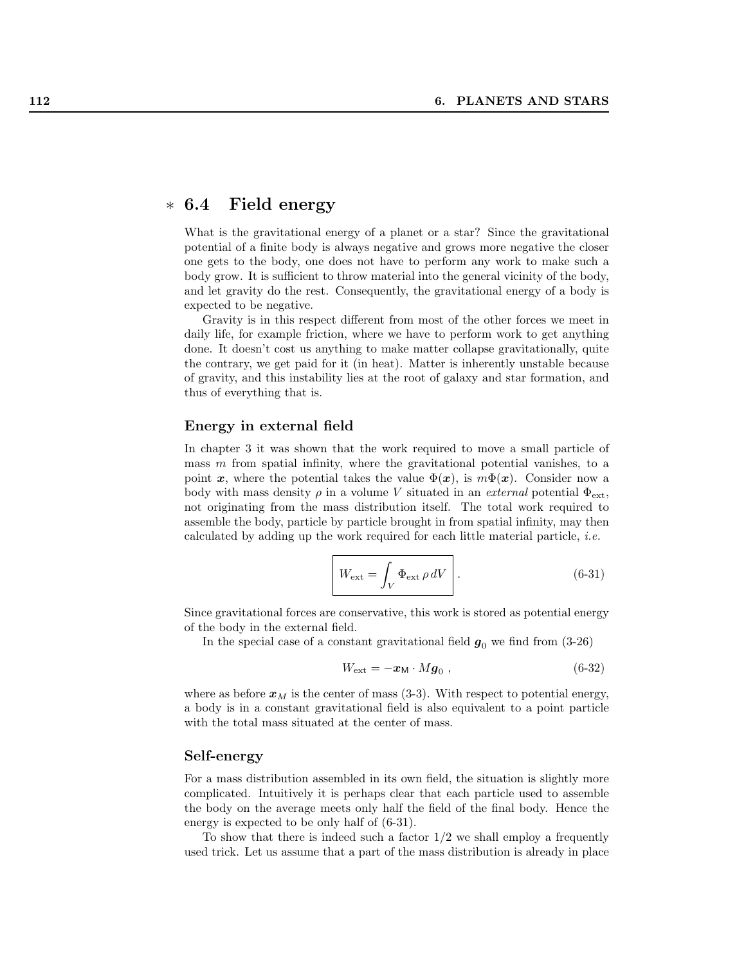## ∗ 6.4 Field energy

What is the gravitational energy of a planet or a star? Since the gravitational potential of a finite body is always negative and grows more negative the closer one gets to the body, one does not have to perform any work to make such a body grow. It is sufficient to throw material into the general vicinity of the body, and let gravity do the rest. Consequently, the gravitational energy of a body is expected to be negative.

Gravity is in this respect different from most of the other forces we meet in daily life, for example friction, where we have to perform work to get anything done. It doesn't cost us anything to make matter collapse gravitationally, quite the contrary, we get paid for it (in heat). Matter is inherently unstable because of gravity, and this instability lies at the root of galaxy and star formation, and thus of everything that is.

### Energy in external field

In chapter 3 it was shown that the work required to move a small particle of mass  $m$  from spatial infinity, where the gravitational potential vanishes, to a point x, where the potential takes the value  $\Phi(x)$ , is  $m\Phi(x)$ . Consider now a body with mass density  $\rho$  in a volume V situated in an *external* potential  $\Phi_{ext}$ , not originating from the mass distribution itself. The total work required to assemble the body, particle by particle brought in from spatial infinity, may then calculated by adding up the work required for each little material particle, i.e.

$$
W_{\text{ext}} = \int_{V} \Phi_{\text{ext}} \rho \, dV \quad . \tag{6-31}
$$

Since gravitational forces are conservative, this work is stored as potential energy of the body in the external field.

In the special case of a constant gravitational field  $g_0$  we find from (3-26)

$$
W_{\text{ext}} = -x_{\text{M}} \cdot Mg_0 , \qquad (6-32)
$$

where as before  $x_M$  is the center of mass (3-3). With respect to potential energy, a body is in a constant gravitational field is also equivalent to a point particle with the total mass situated at the center of mass.

### Self-energy

For a mass distribution assembled in its own field, the situation is slightly more complicated. Intuitively it is perhaps clear that each particle used to assemble the body on the average meets only half the field of the final body. Hence the energy is expected to be only half of (6-31).

To show that there is indeed such a factor  $1/2$  we shall employ a frequently used trick. Let us assume that a part of the mass distribution is already in place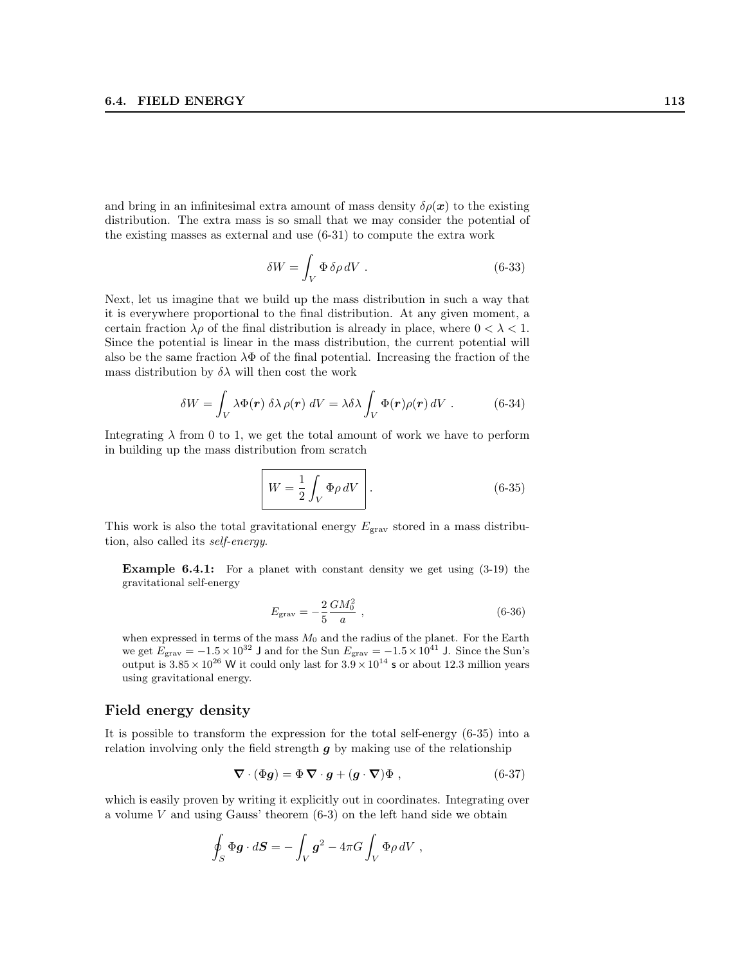and bring in an infinitesimal extra amount of mass density  $\delta \rho(x)$  to the existing distribution. The extra mass is so small that we may consider the potential of the existing masses as external and use (6-31) to compute the extra work

$$
\delta W = \int_{V} \Phi \, \delta \rho \, dV \,. \tag{6-33}
$$

Next, let us imagine that we build up the mass distribution in such a way that it is everywhere proportional to the final distribution. At any given moment, a certain fraction  $\lambda \rho$  of the final distribution is already in place, where  $0 < \lambda < 1$ . Since the potential is linear in the mass distribution, the current potential will also be the same fraction  $\lambda \Phi$  of the final potential. Increasing the fraction of the mass distribution by  $\delta\lambda$  will then cost the work

$$
\delta W = \int_{V} \lambda \Phi(\mathbf{r}) \, \delta \lambda \, \rho(\mathbf{r}) \, dV = \lambda \delta \lambda \int_{V} \Phi(\mathbf{r}) \rho(\mathbf{r}) \, dV \,. \tag{6-34}
$$

Integrating  $\lambda$  from 0 to 1, we get the total amount of work we have to perform in building up the mass distribution from scratch

$$
W = \frac{1}{2} \int_{V} \Phi \rho \, dV \quad . \tag{6-35}
$$

This work is also the total gravitational energy  $E_{\text{grav}}$  stored in a mass distribution, also called its self-energy.

Example 6.4.1: For a planet with constant density we get using (3-19) the gravitational self-energy

$$
E_{\rm grav} = -\frac{2}{5} \frac{GM_0^2}{a} \,, \tag{6-36}
$$

when expressed in terms of the mass  $M_0$  and the radius of the planet. For the Earth we get  $E_{\text{grav}} = -1.5 \times 10^{32}$  J and for the Sun  $E_{\text{grav}} = -1.5 \times 10^{41}$  J. Since the Sun's output is  $3.85 \times 10^{26}$  W it could only last for  $3.9 \times 10^{14}$  s or about 12.3 million years using gravitational energy.

### Field energy density

It is possible to transform the expression for the total self-energy (6-35) into a relation involving only the field strength  $g$  by making use of the relationship

$$
\nabla \cdot (\Phi g) = \Phi \, \nabla \cdot g + (g \cdot \nabla) \Phi , \qquad (6-37)
$$

which is easily proven by writing it explicitly out in coordinates. Integrating over a volume  $V$  and using Gauss' theorem  $(6-3)$  on the left hand side we obtain

$$
\oint_S \Phi \mathbf{g} \cdot d\mathbf{S} = -\int_V \mathbf{g}^2 - 4\pi G \int_V \Phi \rho \, dV ,
$$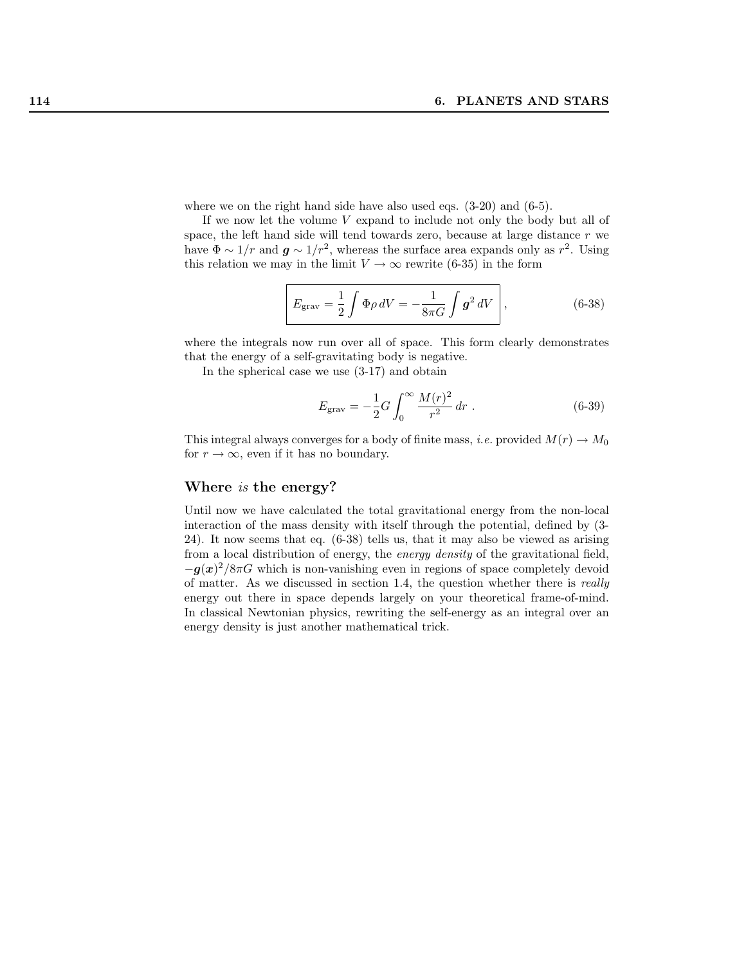where we on the right hand side have also used eqs. (3-20) and (6-5).

If we now let the volume  $V$  expand to include not only the body but all of space, the left hand side will tend towards zero, because at large distance  $r$  we have  $\Phi \sim 1/r$  and  $g \sim 1/r^2$ , whereas the surface area expands only as  $r^2$ . Using this relation we may in the limit  $V \to \infty$  rewrite (6-35) in the form

$$
E_{\text{grav}} = \frac{1}{2} \int \Phi \rho \, dV = -\frac{1}{8\pi G} \int \mathbf{g}^2 \, dV \quad , \tag{6-38}
$$

where the integrals now run over all of space. This form clearly demonstrates that the energy of a self-gravitating body is negative.

In the spherical case we use (3-17) and obtain

$$
E_{\rm grav} = -\frac{1}{2}G \int_0^\infty \frac{M(r)^2}{r^2} dr . \tag{6-39}
$$

This integral always converges for a body of finite mass, i.e. provided  $M(r) \to M_0$ for  $r \to \infty$ , even if it has no boundary.

### Where is the energy?

Until now we have calculated the total gravitational energy from the non-local interaction of the mass density with itself through the potential, defined by (3- 24). It now seems that eq. (6-38) tells us, that it may also be viewed as arising from a local distribution of energy, the energy density of the gravitational field,  $-g(x)^2/8\pi G$  which is non-vanishing even in regions of space completely devoid of matter. As we discussed in section 1.4, the question whether there is really energy out there in space depends largely on your theoretical frame-of-mind. In classical Newtonian physics, rewriting the self-energy as an integral over an energy density is just another mathematical trick.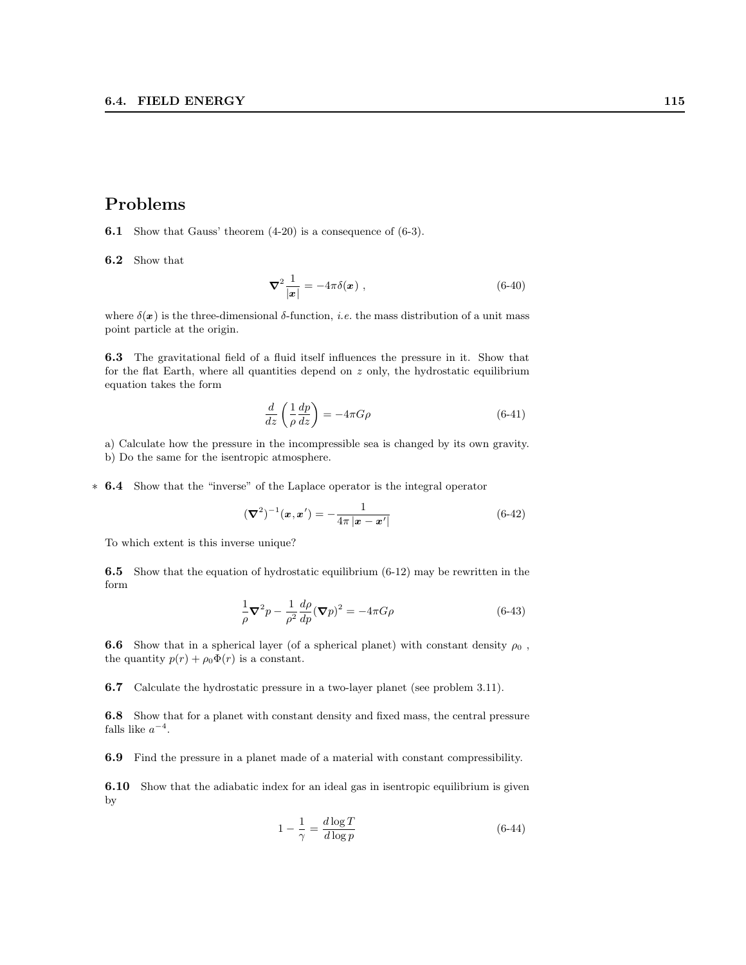# Problems

6.1 Show that Gauss' theorem (4-20) is a consequence of (6-3).

6.2 Show that

$$
\nabla^2 \frac{1}{|\mathbf{x}|} = -4\pi \delta(\mathbf{x}) \tag{6-40}
$$

where  $\delta(x)$  is the three-dimensional  $\delta$ -function, *i.e.* the mass distribution of a unit mass point particle at the origin.

6.3 The gravitational field of a fluid itself influences the pressure in it. Show that for the flat Earth, where all quantities depend on  $z$  only, the hydrostatic equilibrium equation takes the form

$$
\frac{d}{dz}\left(\frac{1}{\rho}\frac{dp}{dz}\right) = -4\pi G\rho\tag{6-41}
$$

a) Calculate how the pressure in the incompressible sea is changed by its own gravity. b) Do the same for the isentropic atmosphere.

∗ 6.4 Show that the "inverse" of the Laplace operator is the integral operator

$$
(\nabla^2)^{-1}(\mathbf{x}, \mathbf{x}') = -\frac{1}{4\pi |\mathbf{x} - \mathbf{x}'|} \tag{6-42}
$$

To which extent is this inverse unique?

6.5 Show that the equation of hydrostatic equilibrium (6-12) may be rewritten in the form

$$
\frac{1}{\rho}\nabla^2 p - \frac{1}{\rho^2}\frac{d\rho}{dp}(\nabla p)^2 = -4\pi G\rho\tag{6-43}
$$

6.6 Show that in a spherical layer (of a spherical planet) with constant density  $\rho_0$ , the quantity  $p(r) + \rho_0 \Phi(r)$  is a constant.

6.7 Calculate the hydrostatic pressure in a two-layer planet (see problem 3.11).

6.8 Show that for a planet with constant density and fixed mass, the central pressure falls like  $a^{-4}$ .

6.9 Find the pressure in a planet made of a material with constant compressibility.

**6.10** Show that the adiabatic index for an ideal gas in isentropic equilibrium is given by

$$
1 - \frac{1}{\gamma} = \frac{d \log T}{d \log p} \tag{6-44}
$$